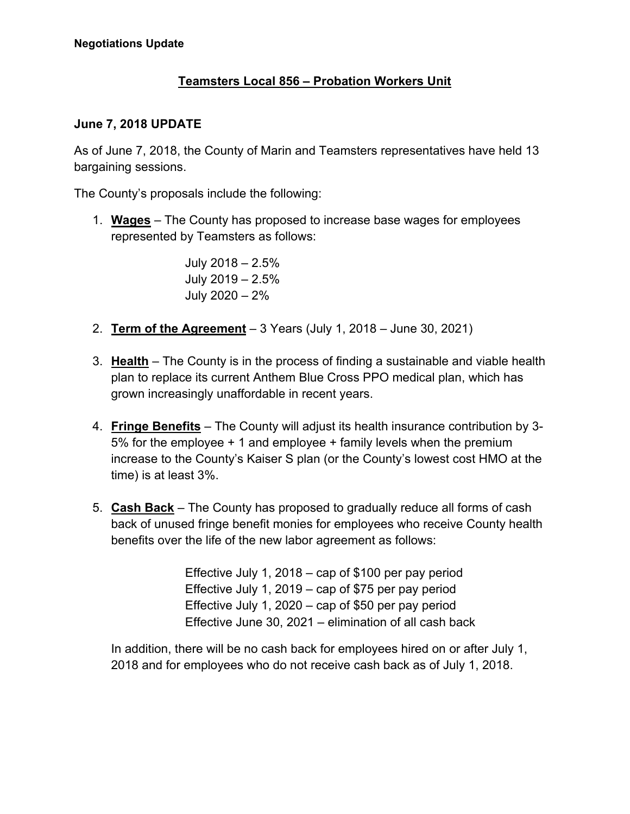## **Teamsters Local 856 – Probation Workers Unit**

## **June 7, 2018 UPDATE**

As of June 7, 2018, the County of Marin and Teamsters representatives have held 13 bargaining sessions.

The County's proposals include the following:

1. **Wages** – The County has proposed to increase base wages for employees represented by Teamsters as follows:

> July 2018 – 2.5% July 2019 – 2.5% July 2020 – 2%

- 2. **Term of the Agreement** 3 Years (July 1, 2018 June 30, 2021)
- 3. **Health** The County is in the process of finding a sustainable and viable health plan to replace its current Anthem Blue Cross PPO medical plan, which has grown increasingly unaffordable in recent years.
- 4. **Fringe Benefits** The County will adjust its health insurance contribution by 3- 5% for the employee + 1 and employee + family levels when the premium increase to the County's Kaiser S plan (or the County's lowest cost HMO at the time) is at least 3%.
- 5. **Cash Back** The County has proposed to gradually reduce all forms of cash back of unused fringe benefit monies for employees who receive County health benefits over the life of the new labor agreement as follows:

Effective July 1, 2018 – cap of \$100 per pay period Effective July 1, 2019 – cap of \$75 per pay period Effective July 1, 2020 – cap of \$50 per pay period Effective June 30, 2021 – elimination of all cash back

In addition, there will be no cash back for employees hired on or after July 1, 2018 and for employees who do not receive cash back as of July 1, 2018.